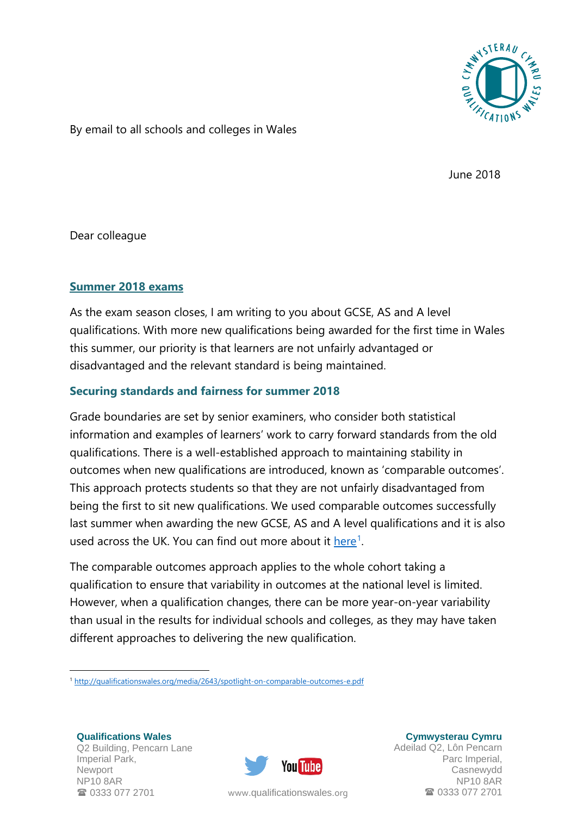

By email to all schools and colleges in Wales

June 2018

Dear colleague

# **Summer 2018 exams**

As the exam season closes, I am writing to you about GCSE, AS and A level qualifications. With more new qualifications being awarded for the first time in Wales this summer, our priority is that learners are not unfairly advantaged or disadvantaged and the relevant standard is being maintained.

# **Securing standards and fairness for summer 2018**

Grade boundaries are set by senior examiners, who consider both statistical information and examples of learners' work to carry forward standards from the old qualifications. There is a well-established approach to maintaining stability in outcomes when new qualifications are introduced, known as 'comparable outcomes'. This approach protects students so that they are not unfairly disadvantaged from being the first to sit new qualifications. We used comparable outcomes successfully last summer when awarding the new GCSE, AS and A level qualifications and it is also used across the UK. You can find out more about it [here](http://qualificationswales.org/media/2643/spotlight-on-comparable-outcomes-e.pdf)<sup>[1](#page-0-0)</sup>.

The comparable outcomes approach applies to the whole cohort taking a qualification to ensure that variability in outcomes at the national level is limited. However, when a qualification changes, there can be more year-on-year variability than usual in the results for individual schools and colleges, as they may have taken different approaches to delivering the new qualification.

**Qualifications Wales** Q2 Building, Pencarn Lane Imperial Park, Newport NP10 8AR 0333 077 2701

<u>.</u>



**Cymwysterau Cymru** Adeilad Q2, Lôn Pencarn Parc Imperial, Casnewydd NP10 8AR www.[qualificationswales](http://qualificationswales.org/Splash).org **1946** 0333 077 2701

<span id="page-0-0"></span><sup>1</sup> <http://qualificationswales.org/media/2643/spotlight-on-comparable-outcomes-e.pdf>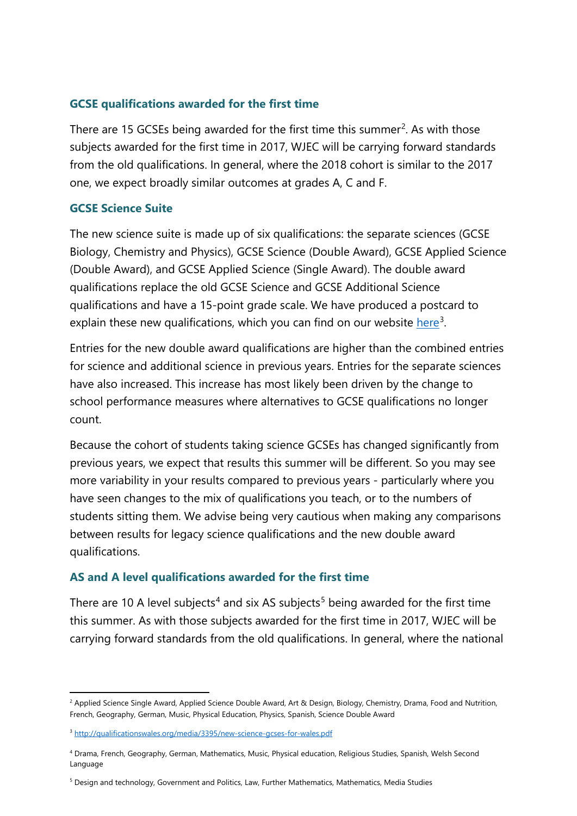## **GCSE qualifications awarded for the first time**

There are 15 GCSEs being awarded for the first time this summer<sup>[2](#page-1-0)</sup>. As with those subjects awarded for the first time in 2017, WJEC will be carrying forward standards from the old qualifications. In general, where the 2018 cohort is similar to the 2017 one, we expect broadly similar outcomes at grades A, C and F.

## **GCSE Science Suite**

The new science suite is made up of six qualifications: the separate sciences (GCSE Biology, Chemistry and Physics), GCSE Science (Double Award), GCSE Applied Science (Double Award), and GCSE Applied Science (Single Award). The double award qualifications replace the old GCSE Science and GCSE Additional Science qualifications and have a 15-point grade scale. We have produced a postcard to explain these new qualifications, which you can find on our website [here](http://qualificationswales.org/media/3395/new-science-gcses-for-wales.pdf)<sup>[3](#page-1-1)</sup>.

Entries for the new double award qualifications are higher than the combined entries for science and additional science in previous years. Entries for the separate sciences have also increased. This increase has most likely been driven by the change to school performance measures where alternatives to GCSE qualifications no longer count.

Because the cohort of students taking science GCSEs has changed significantly from previous years, we expect that results this summer will be different. So you may see more variability in your results compared to previous years - particularly where you have seen changes to the mix of qualifications you teach, or to the numbers of students sitting them. We advise being very cautious when making any comparisons between results for legacy science qualifications and the new double award qualifications.

## **AS and A level qualifications awarded for the first time**

There are 10 A level subjects<sup>[4](#page-1-2)</sup> and six AS subjects<sup>[5](#page-1-3)</sup> being awarded for the first time this summer. As with those subjects awarded for the first time in 2017, WJEC will be carrying forward standards from the old qualifications. In general, where the national

**.** 

<span id="page-1-0"></span><sup>&</sup>lt;sup>2</sup> Applied Science Single Award, Applied Science Double Award, Art & Design, Biology, Chemistry, Drama, Food and Nutrition, French, Geography, German, Music, Physical Education, Physics, Spanish, Science Double Award

<span id="page-1-1"></span><sup>&</sup>lt;sup>3</sup> <http://qualificationswales.org/media/3395/new-science-gcses-for-wales.pdf>

<span id="page-1-2"></span><sup>4</sup> Drama, French, Geography, German, Mathematics, Music, Physical education, Religious Studies, Spanish, Welsh Second Language

<span id="page-1-3"></span><sup>5</sup> Design and technology, Government and Politics, Law, Further Mathematics, Mathematics, Media Studies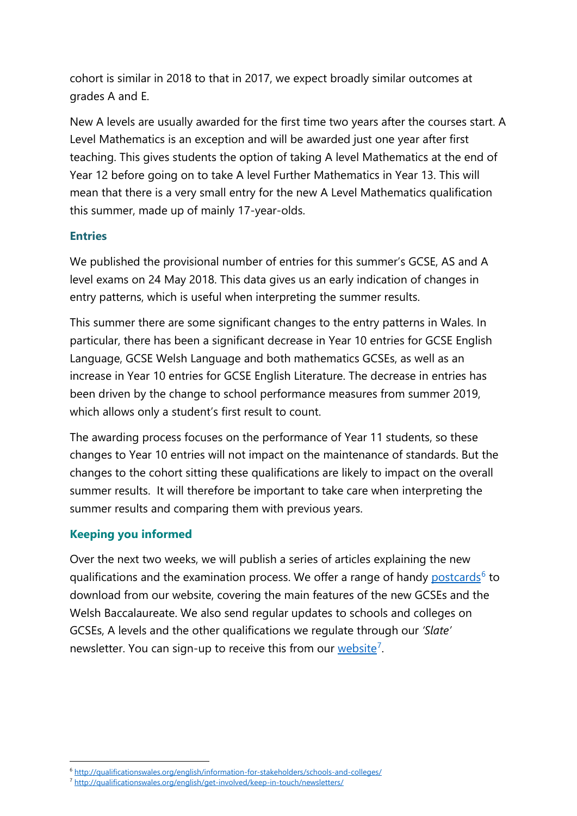cohort is similar in 2018 to that in 2017, we expect broadly similar outcomes at grades A and E.

New A levels are usually awarded for the first time two years after the courses start. A Level Mathematics is an exception and will be awarded just one year after first teaching. This gives students the option of taking A level Mathematics at the end of Year 12 before going on to take A level Further Mathematics in Year 13. This will mean that there is a very small entry for the new A Level Mathematics qualification this summer, made up of mainly 17-year-olds.

# **Entries**

We published the provisional number of entries for this summer's GCSE, AS and A level exams on 24 May 2018. This data gives us an early indication of changes in entry patterns, which is useful when interpreting the summer results.

This summer there are some significant changes to the entry patterns in Wales. In particular, there has been a significant decrease in Year 10 entries for GCSE English Language, GCSE Welsh Language and both mathematics GCSEs, as well as an increase in Year 10 entries for GCSE English Literature. The decrease in entries has been driven by the change to school performance measures from summer 2019, which allows only a student's first result to count.

The awarding process focuses on the performance of Year 11 students, so these changes to Year 10 entries will not impact on the maintenance of standards. But the changes to the cohort sitting these qualifications are likely to impact on the overall summer results. It will therefore be important to take care when interpreting the summer results and comparing them with previous years.

## **Keeping you informed**

**.** 

Over the next two weeks, we will publish a series of articles explaining the new qualifications and the examination process. We offer a range of handy [postcards](http://qualificationswales.org/english/information-for-stakeholders/schools-and-colleges/)<sup>[6](#page-2-0)</sup> to download from our website, covering the main features of the new GCSEs and the Welsh Baccalaureate. We also send regular updates to schools and colleges on GCSEs, A levels and the other qualifications we regulate through our *'Slate'* newsletter. You can sign-up to receive this from our [website](http://qualificationswales.org/english/get-involved/keep-in-touch/newsletters/)<sup>[7](#page-2-1)</sup>.

<span id="page-2-1"></span><span id="page-2-0"></span><sup>6</sup> <http://qualificationswales.org/english/information-for-stakeholders/schools-and-colleges/>

<sup>7</sup> <http://qualificationswales.org/english/get-involved/keep-in-touch/newsletters/>